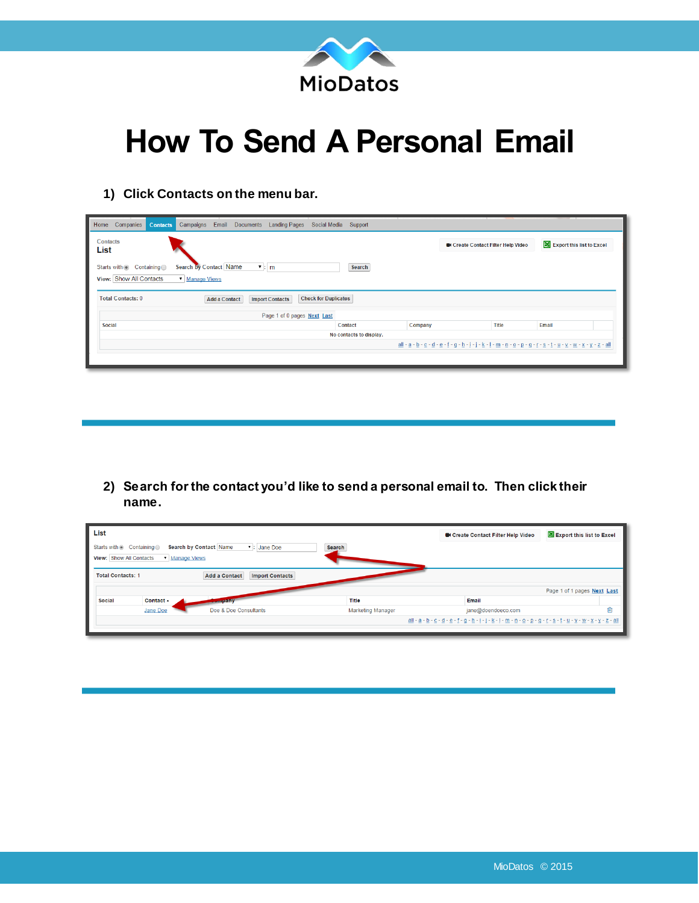

## **How To Send A Personal Email**

## **1) Click Contacts on the menu bar.**

| Home<br>Companies<br>Email<br>Documents<br><b>Landing Pages</b><br>Campaigns<br><b>Contacts</b>                                                                       | Social Media Support    |                                                                                                                                                                                                                                                                                                                                                                                                                                                                                                                                                                                                                                                                         |                           |
|-----------------------------------------------------------------------------------------------------------------------------------------------------------------------|-------------------------|-------------------------------------------------------------------------------------------------------------------------------------------------------------------------------------------------------------------------------------------------------------------------------------------------------------------------------------------------------------------------------------------------------------------------------------------------------------------------------------------------------------------------------------------------------------------------------------------------------------------------------------------------------------------------|---------------------------|
| <b>Contacts</b><br>List<br><b>Search by Contact Name</b><br>Starts with Containing<br>$\mathbf{v}$ : $\mathbf{m}$<br>View: Show All Contacts<br><b>v</b> Manage Views | Search                  | <b>IN Create Contact Filter Help Video</b>                                                                                                                                                                                                                                                                                                                                                                                                                                                                                                                                                                                                                              | Export this list to Excel |
| <b>Check for Duplicates</b><br><b>Total Contacts: 0</b><br><b>Add a Contact</b><br><b>Import Contacts</b>                                                             |                         |                                                                                                                                                                                                                                                                                                                                                                                                                                                                                                                                                                                                                                                                         |                           |
| Page 1 of 0 pages Next Last                                                                                                                                           |                         |                                                                                                                                                                                                                                                                                                                                                                                                                                                                                                                                                                                                                                                                         |                           |
| Social                                                                                                                                                                | Contact                 | <b>Title</b><br>Company                                                                                                                                                                                                                                                                                                                                                                                                                                                                                                                                                                                                                                                 | Email                     |
|                                                                                                                                                                       | No contacts to display. |                                                                                                                                                                                                                                                                                                                                                                                                                                                                                                                                                                                                                                                                         |                           |
|                                                                                                                                                                       |                         | $\underline{\text{all}} - \underline{\text{a}} - \underline{\text{b}} - \underline{\text{c}} - \underline{\text{d}} - \underline{\text{e}} - \underline{\text{f}} - \underline{\text{q}} - \underline{\text{h}} - \underline{\text{i}} - \underline{\text{i}} - \underline{\text{k}} - \underline{\text{l}} - \underline{\text{m}} - \underline{\text{n}} - \underline{\text{q}} - \underline{\text{p}} - \underline{\text{q}} - \underline{\text{r}} - \underline{\text{s}} - \underline{\text{t}} - \underline{\text{u}} - \underline{\text{v}} - \underline{\text{w}} - \underline{\text{x}} - \underline{\text{y}} - \underline{\text{z}} - \underline{\text{all}}$ |                           |

**2) Search for the contact you'd like to send a personal email to. Then click their name.** 

| List                                                              |                       |                                                |                          | <b>OK Create Contact Filter Help Video</b>                                                                                                                                                                                                                                                                                                                                                                                                                          | Export this list to Excel   |
|-------------------------------------------------------------------|-----------------------|------------------------------------------------|--------------------------|---------------------------------------------------------------------------------------------------------------------------------------------------------------------------------------------------------------------------------------------------------------------------------------------------------------------------------------------------------------------------------------------------------------------------------------------------------------------|-----------------------------|
| Starts with $\odot$ Containing $\odot$<br>View: Show All Contacts | <b>v</b> Manage Views | Search by Contact Name<br>$\bullet$ : Jane Doe | Search                   |                                                                                                                                                                                                                                                                                                                                                                                                                                                                     |                             |
| <b>Total Contacts: 1</b>                                          |                       | <b>Import Contacts</b><br><b>Add a Contact</b> |                          |                                                                                                                                                                                                                                                                                                                                                                                                                                                                     |                             |
|                                                                   |                       |                                                |                          |                                                                                                                                                                                                                                                                                                                                                                                                                                                                     | Page 1 of 1 pages Next Last |
| <b>Social</b>                                                     | Contact -             | <b>Company</b>                                 | <b>Title</b>             | Email                                                                                                                                                                                                                                                                                                                                                                                                                                                               |                             |
|                                                                   | Jane Doe              | Doe & Doe Consultants                          | <b>Marketing Manager</b> | jane@doendoeco.com                                                                                                                                                                                                                                                                                                                                                                                                                                                  | û                           |
|                                                                   |                       |                                                |                          | $\underline{all} = \underline{a} + \underline{b} + \underline{c} + \underline{d} + \underline{e} + \underline{f} + \underline{g} + \underline{h} + \underline{l} + \underline{l} + \underline{K} + \underline{l} + \underline{m} + \underline{n} + \underline{o} + \underline{p} + \underline{q} + \underline{r} + \underline{s} + \underline{t} + \underline{u} + \underline{v} + \underline{w} + \underline{x} + \underline{y} + \underline{z} + \underline{all}$ |                             |
|                                                                   |                       |                                                |                          |                                                                                                                                                                                                                                                                                                                                                                                                                                                                     |                             |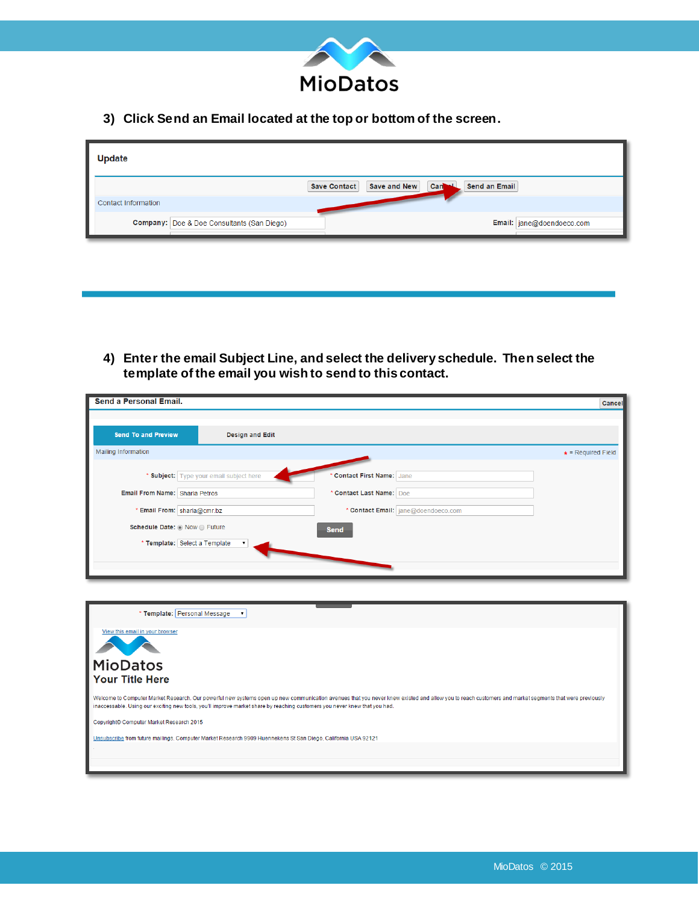

**3) Click Send an Email located at the top or bottom of the screen.** 

| <b>Update</b>                              |                                                             |
|--------------------------------------------|-------------------------------------------------------------|
|                                            | Send an Email<br>Save and New<br><b>Save Contact</b><br>Can |
| <b>Contact Information</b>                 |                                                             |
| Company: Doe & Doe Consultants (San Diego) | Email: jane@doendoeco.com                                   |

**4) Enter the email Subject Line, and select the delivery schedule. Then select the template of the email you wish to send to this contact.** 

| <b>Send a Personal Email.</b>  |                                         |                                     | Cancel                   |
|--------------------------------|-----------------------------------------|-------------------------------------|--------------------------|
|                                |                                         |                                     |                          |
| <b>Send To and Preview</b>     | Design and Edit                         |                                     |                          |
| Mailing Information            |                                         |                                     | $\star$ = Required Field |
|                                | * Subject: Type your email subject here | * Contact First Name: Jane          |                          |
| Email From Name: Sharla Petros |                                         | * Contact Last Name: Doe            |                          |
| * Email From: sharla@cmr.bz    |                                         | * Contact Email: jane@doendoeco.com |                          |
| Schedule Date: O Now O Future  |                                         | <b>Send</b>                         |                          |
| * Template: Select a Template  |                                         |                                     |                          |
|                                |                                         |                                     |                          |
|                                |                                         |                                     |                          |

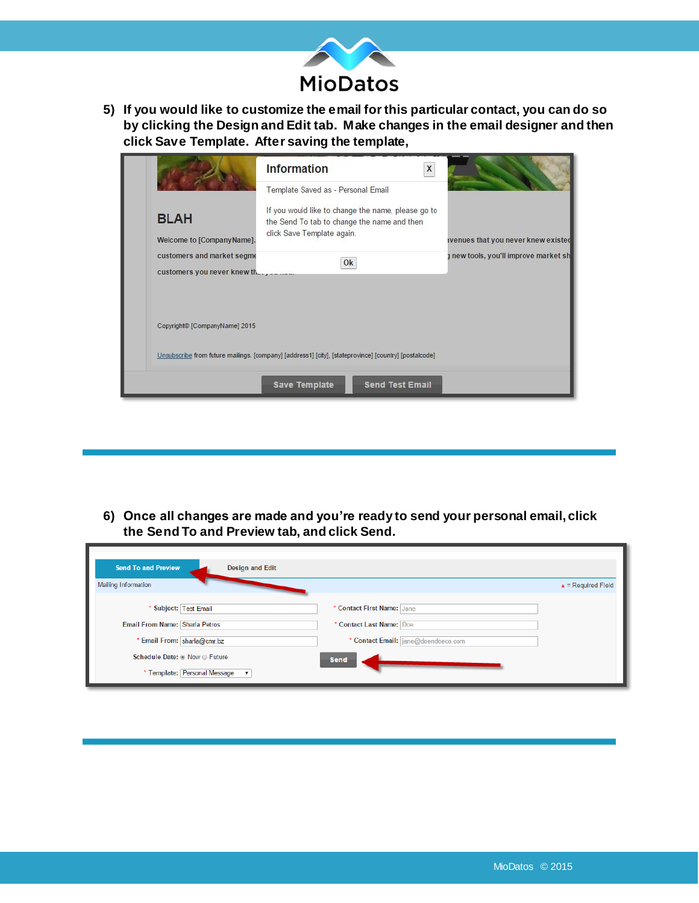

**5) If you would like to customize the email for this particular contact, you can do so by clicking the Design and Edit tab. Make changes in the email designer and then click Save Template. After saving the template,** 

|                                                              | Information<br>X                                                                                                                |                                       |
|--------------------------------------------------------------|---------------------------------------------------------------------------------------------------------------------------------|---------------------------------------|
|                                                              | Template Saved as - Personal Email                                                                                              |                                       |
| <b>BLAH</b><br>Welcome to [CompanyName].                     | If you would like to change the name, please go to<br>the Send To tab to change the name and then<br>click Save Template again. | ivenues that you never knew existed   |
| customers and market segme<br>customers you never knew there | Ok                                                                                                                              | a new tools, you'll improve market sh |
|                                                              |                                                                                                                                 |                                       |
|                                                              |                                                                                                                                 |                                       |
| Copyright© [CompanyName] 2015                                |                                                                                                                                 |                                       |
|                                                              | Unsubscribe from future mailings. [company] [address1] [city], [stateprovince] [country] [postalcode]                           |                                       |

**6) Once all changes are made and you're ready to send your personal email, click the Send To and Preview tab, and click Send.**

| <b>Send To and Preview</b>     | <b>Design and Edit</b>             |                                     |                          |
|--------------------------------|------------------------------------|-------------------------------------|--------------------------|
| Mailing Information            |                                    |                                     | $\star$ = Required Field |
|                                | * Subject: Test Email              | * Contact First Name: Jane          |                          |
| Email From Name: Sharla Petros |                                    | * Contact Last Name: Doe            |                          |
|                                | * Email From: sharla@cmr.bz        | * Contact Email: jane@doendoeco.com |                          |
|                                | Schedule Date: O Now O Future      | <b>Send</b>                         |                          |
|                                | * Template: Personal Message<br>ν. |                                     |                          |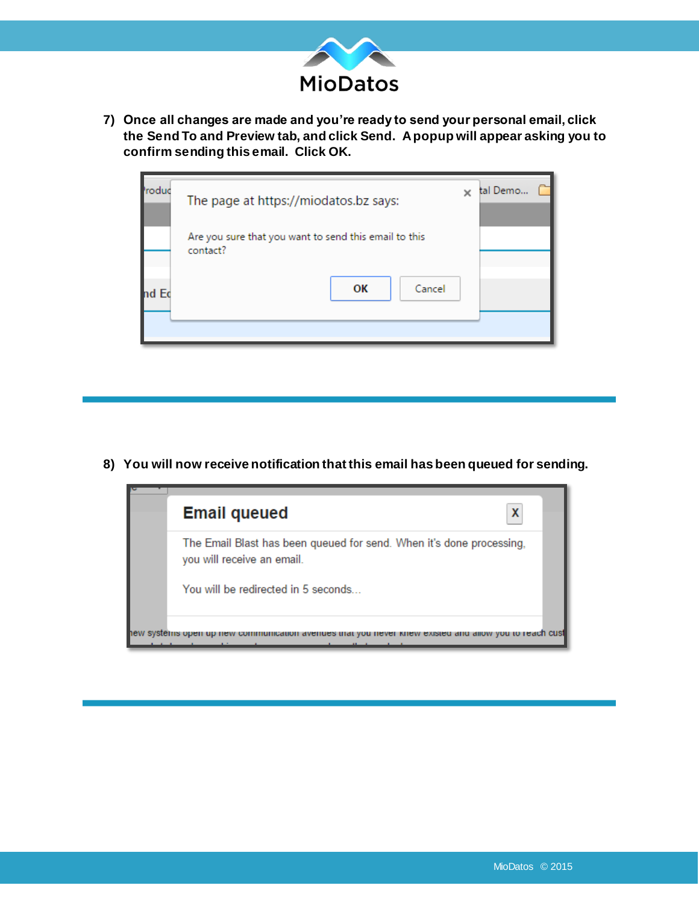

**7) Once all changes are made and you're ready to send your personal email, click the Send To and Preview tab, and click Send. A popup will appear asking you to confirm sending this email. Click OK.** 

| Produc | The page at https://miodatos.bz says:                             | tal Demo |  |  |  |
|--------|-------------------------------------------------------------------|----------|--|--|--|
|        | Are you sure that you want to send this email to this<br>contact? |          |  |  |  |
| nd Ec  | OК                                                                | Cancel   |  |  |  |
|        |                                                                   |          |  |  |  |

**8) You will now receive notification that this email has been queued for sending.** 

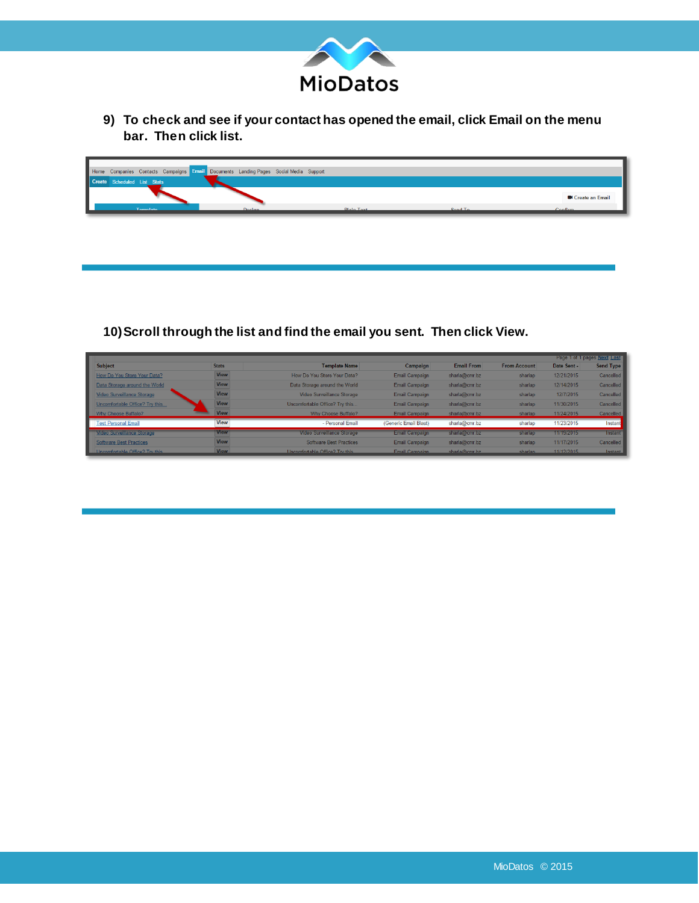

**9) To check and see if your contact has opened the email, click Email on the menu bar. Then click list.** 



**10)Scroll through the list and find the email you sent. Then click View.** 

|                                        |              |                                        |                       |                   |                     |             | Page 1 of 1 pages Next Last |
|----------------------------------------|--------------|----------------------------------------|-----------------------|-------------------|---------------------|-------------|-----------------------------|
| <b>Subject</b>                         | <b>Stats</b> | <b>Template Name</b>                   | Campaign              | <b>Email From</b> | <b>From Account</b> | Date Sent - | Send Type                   |
| How Do You Store Your Data?            | <b>View</b>  | How Do You Store Your Data?            | Email Campaign        | sharla@cmr.bz     | sharlap             | 12/21/2015  | Cancelled                   |
| Data Storage around the World          | <b>View</b>  | Data Storage around the World          | Email Campaign        | sharla@cmr.bz     | sharlap             | 12/14/2015  | Cancelled                   |
| Video Surveillance Storage             | <b>View</b>  | Video Surveillance Storage             | Email Campaign        | sharla@cmr.bz     | sharlap             | 12/7/2015   | Cancelled                   |
| Uncomfortable Office? Try this         | <b>View</b>  | Uncomfortable Office? Try this         | Email Campaign        | sharla@cmr.bz     | sharlap             | 11/30/2015  | Cancelled                   |
| Why Choose Buffalo?                    | <b>View</b>  | Why Choose Buffalo?                    | Email Campaign        | sharla@cmr.bz     | sharlap             | 11/24/2015  | Cancelled                   |
| <b>Test Personal Email</b>             | <b>View</b>  | - Personal Email                       | (Generic Email Blast) | sharla@cmr.bz     | sharlap             | 11/23/2015  | Instant                     |
| Video Surveillance Storage             | <b>View</b>  | Video Surveillance Storage             | Email Campaign        | sharla@cmr.bz     | sharlap             | 11/19/2015  | Instant                     |
| <b>Software Best Practices</b>         | <b>View</b>  | Software Best Practices                | <b>Email Campaign</b> | sharla@cmr.bz     | sharlap             | 11/17/2015  | Cancelled                   |
| <b>Lincomfortable Office?</b> Try this | <b>View</b>  | <b>Lincomfortable Office? Try this</b> | <b>Email Campaign</b> | sharla@cmr hz     | charlan             | 11/12/2015  | Instant                     |